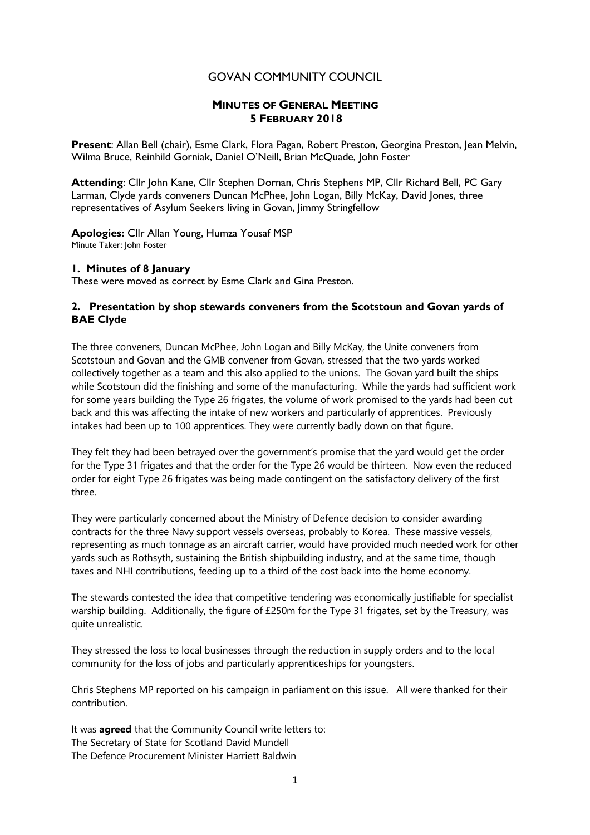# GOVAN COMMUNITY COUNCIL

# **MINUTES OF GENERAL MEETING 5 FEBRUARY 2018**

**Present**: Allan Bell (chair), Esme Clark, Flora Pagan, Robert Preston, Georgina Preston, Jean Melvin, Wilma Bruce, Reinhild Gorniak, Daniel O'Neill, Brian McQuade, John Foster

**Attending**: Cllr John Kane, Cllr Stephen Dornan, Chris Stephens MP, Cllr Richard Bell, PC Gary Larman, Clyde yards conveners Duncan McPhee, John Logan, Billy McKay, David Jones, three representatives of Asylum Seekers living in Govan, Jimmy Stringfellow

**Apologies:** Cllr Allan Young, Humza Yousaf MSP Minute Taker: John Foster

### **1. Minutes of 8 January**

These were moved as correct by Esme Clark and Gina Preston.

### **2. Presentation by shop stewards conveners from the Scotstoun and Govan yards of BAE Clyde**

The three conveners, Duncan McPhee, John Logan and Billy McKay, the Unite conveners from Scotstoun and Govan and the GMB convener from Govan, stressed that the two yards worked collectively together as a team and this also applied to the unions. The Govan yard built the ships while Scotstoun did the finishing and some of the manufacturing. While the yards had sufficient work for some years building the Type 26 frigates, the volume of work promised to the yards had been cut back and this was affecting the intake of new workers and particularly of apprentices. Previously intakes had been up to 100 apprentices. They were currently badly down on that figure.

They felt they had been betrayed over the government's promise that the yard would get the order for the Type 31 frigates and that the order for the Type 26 would be thirteen. Now even the reduced order for eight Type 26 frigates was being made contingent on the satisfactory delivery of the first three.

They were particularly concerned about the Ministry of Defence decision to consider awarding contracts for the three Navy support vessels overseas, probably to Korea. These massive vessels, representing as much tonnage as an aircraft carrier, would have provided much needed work for other yards such as Rothsyth, sustaining the British shipbuilding industry, and at the same time, though taxes and NHI contributions, feeding up to a third of the cost back into the home economy.

The stewards contested the idea that competitive tendering was economically justifiable for specialist warship building. Additionally, the figure of £250m for the Type 31 frigates, set by the Treasury, was quite unrealistic.

They stressed the loss to local businesses through the reduction in supply orders and to the local community for the loss of jobs and particularly apprenticeships for youngsters.

Chris Stephens MP reported on his campaign in parliament on this issue. All were thanked for their contribution.

It was **agreed** that the Community Council write letters to: The Secretary of State for Scotland David Mundell The Defence Procurement Minister Harriett Baldwin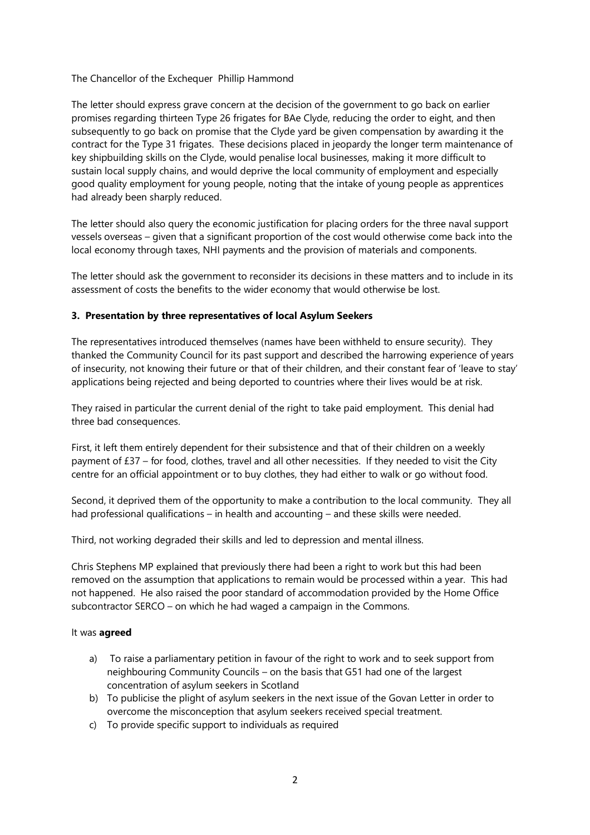The Chancellor of the Exchequer Phillip Hammond

The letter should express grave concern at the decision of the government to go back on earlier promises regarding thirteen Type 26 frigates for BAe Clyde, reducing the order to eight, and then subsequently to go back on promise that the Clyde yard be given compensation by awarding it the contract for the Type 31 frigates. These decisions placed in jeopardy the longer term maintenance of key shipbuilding skills on the Clyde, would penalise local businesses, making it more difficult to sustain local supply chains, and would deprive the local community of employment and especially good quality employment for young people, noting that the intake of young people as apprentices had already been sharply reduced.

The letter should also query the economic justification for placing orders for the three naval support vessels overseas – given that a significant proportion of the cost would otherwise come back into the local economy through taxes, NHI payments and the provision of materials and components.

The letter should ask the government to reconsider its decisions in these matters and to include in its assessment of costs the benefits to the wider economy that would otherwise be lost.

### **3. Presentation by three representatives of local Asylum Seekers**

The representatives introduced themselves (names have been withheld to ensure security). They thanked the Community Council for its past support and described the harrowing experience of years of insecurity, not knowing their future or that of their children, and their constant fear of 'leave to stay' applications being rejected and being deported to countries where their lives would be at risk.

They raised in particular the current denial of the right to take paid employment. This denial had three bad consequences.

First, it left them entirely dependent for their subsistence and that of their children on a weekly payment of £37 – for food, clothes, travel and all other necessities. If they needed to visit the City centre for an official appointment or to buy clothes, they had either to walk or go without food.

Second, it deprived them of the opportunity to make a contribution to the local community. They all had professional qualifications – in health and accounting – and these skills were needed.

Third, not working degraded their skills and led to depression and mental illness.

Chris Stephens MP explained that previously there had been a right to work but this had been removed on the assumption that applications to remain would be processed within a year. This had not happened. He also raised the poor standard of accommodation provided by the Home Office subcontractor SERCO – on which he had waged a campaign in the Commons.

#### It was **agreed**

- a) To raise a parliamentary petition in favour of the right to work and to seek support from neighbouring Community Councils – on the basis that G51 had one of the largest concentration of asylum seekers in Scotland
- b) To publicise the plight of asylum seekers in the next issue of the Govan Letter in order to overcome the misconception that asylum seekers received special treatment.
- c) To provide specific support to individuals as required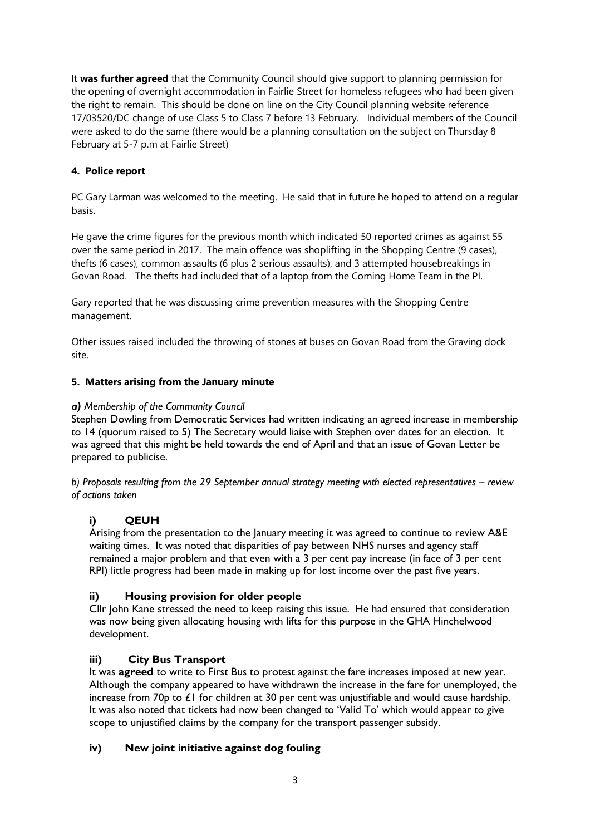It **was further agreed** that the Community Council should give support to planning permission for the opening of overnight accommodation in Fairlie Street for homeless refugees who had been given the right to remain. This should be done on line on the City Council planning website reference 17/03520/DC change of use Class 5 to Class 7 before 13 February. Individual members of the Council were asked to do the same (there would be a planning consultation on the subject on Thursday 8 February at 5-7 p.m at Fairlie Street)

# **4. Police report**

PC Gary Larman was welcomed to the meeting. He said that in future he hoped to attend on a regular basis.

He gave the crime figures for the previous month which indicated 50 reported crimes as against 55 over the same period in 2017. The main offence was shoplifting in the Shopping Centre (9 cases), thefts (6 cases), common assaults (6 plus 2 serious assaults), and 3 attempted housebreakings in Govan Road. The thefts had included that of a laptop from the Coming Home Team in the PI.

Gary reported that he was discussing crime prevention measures with the Shopping Centre management.

Other issues raised included the throwing of stones at buses on Govan Road from the Graving dock site.

# **5. Matters arising from the January minute**

### *a) Membership of the Community Council*

Stephen Dowling from Democratic Services had written indicating an agreed increase in membership to 14 (quorum raised to 5) The Secretary would liaise with Stephen over dates for an election. It was agreed that this might be held towards the end of April and that an issue of Govan Letter be prepared to publicise.

*b) Proposals resulting from the 29 September annual strategy meeting with elected representatives – review of actions taken*

# **i) QEUH**

Arising from the presentation to the January meeting it was agreed to continue to review A&E waiting times. It was noted that disparities of pay between NHS nurses and agency staff remained a major problem and that even with a 3 per cent pay increase (in face of 3 per cent RPI) little progress had been made in making up for lost income over the past five years.

# **ii) Housing provision for older people**

Cllr John Kane stressed the need to keep raising this issue. He had ensured that consideration was now being given allocating housing with lifts for this purpose in the GHA Hinchelwood development.

# **iii) City Bus Transport**

It was **agreed** to write to First Bus to protest against the fare increases imposed at new year. Although the company appeared to have withdrawn the increase in the fare for unemployed, the increase from 70p to £1 for children at 30 per cent was unjustifiable and would cause hardship. It was also noted that tickets had now been changed to 'Valid To' which would appear to give scope to unjustified claims by the company for the transport passenger subsidy.

# **iv) New joint initiative against dog fouling**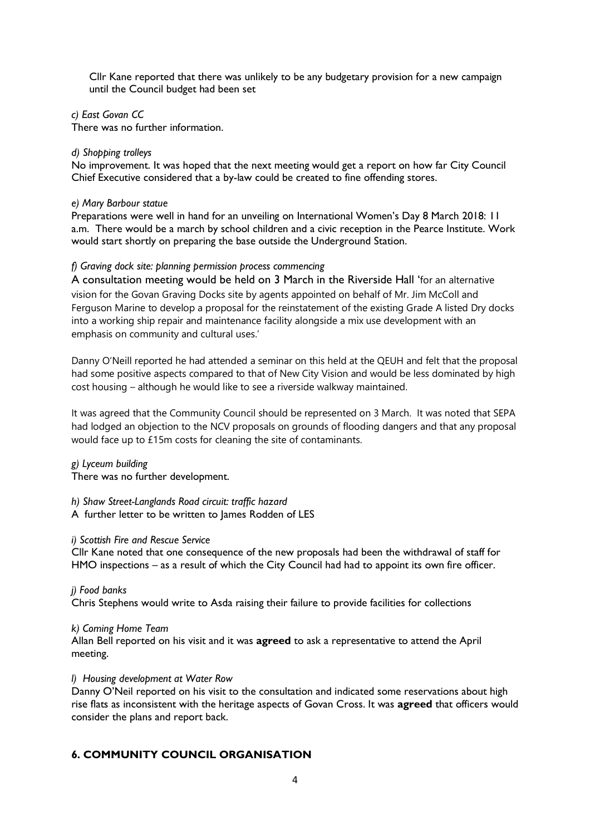Cllr Kane reported that there was unlikely to be any budgetary provision for a new campaign until the Council budget had been set

*c) East Govan CC*

There was no further information.

#### *d) Shopping trolleys*

No improvement. It was hoped that the next meeting would get a report on how far City Council Chief Executive considered that a by-law could be created to fine offending stores.

#### *e) Mary Barbour statue*

Preparations were well in hand for an unveiling on International Women's Day 8 March 2018: 11 a.m. There would be a march by school children and a civic reception in the Pearce Institute. Work would start shortly on preparing the base outside the Underground Station.

### *f) Graving dock site: planning permission process commencing*

A consultation meeting would be held on 3 March in the Riverside Hall 'for an alternative vision for the Govan Graving Docks site by agents appointed on behalf of Mr. Jim McColl and Ferguson Marine to develop a proposal for the reinstatement of the existing Grade A listed Dry docks into a working ship repair and maintenance facility alongside a mix use development with an emphasis on community and cultural uses.'

Danny O'Neill reported he had attended a seminar on this held at the QEUH and felt that the proposal had some positive aspects compared to that of New City Vision and would be less dominated by high cost housing – although he would like to see a riverside walkway maintained.

It was agreed that the Community Council should be represented on 3 March. It was noted that SEPA had lodged an objection to the NCV proposals on grounds of flooding dangers and that any proposal would face up to £15m costs for cleaning the site of contaminants.

### *g) Lyceum building*

There was no further development.

*h) Shaw Street-Langlands Road circuit: traffic hazard* A further letter to be written to James Rodden of LES

### *i) Scottish Fire and Rescue Service*

Cllr Kane noted that one consequence of the new proposals had been the withdrawal of staff for HMO inspections – as a result of which the City Council had had to appoint its own fire officer.

*j) Food banks* Chris Stephens would write to Asda raising their failure to provide facilities for collections

*k) Coming Home Team* Allan Bell reported on his visit and it was **agreed** to ask a representative to attend the April meeting.

### *l) Housing development at Water Row*

Danny O'Neil reported on his visit to the consultation and indicated some reservations about high rise flats as inconsistent with the heritage aspects of Govan Cross. It was **agreed** that officers would consider the plans and report back.

# **6. COMMUNITY COUNCIL ORGANISATION**